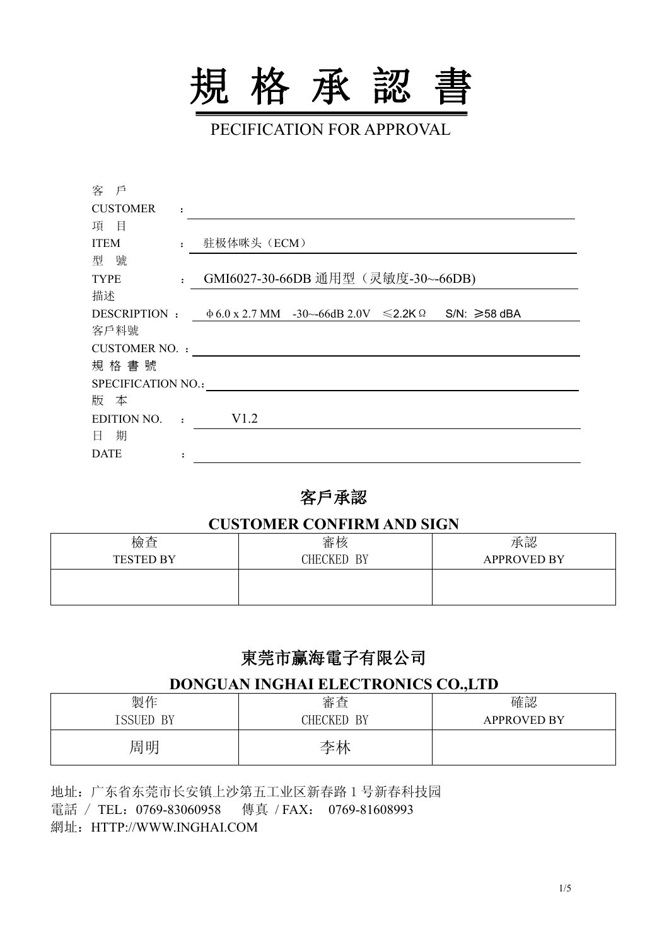

PECIFICATION FOR APPROVAL

| 客 戶                  |                |                                                                                          |
|----------------------|----------------|------------------------------------------------------------------------------------------|
| <b>CUSTOMER</b>      | $\ddot{\cdot}$ |                                                                                          |
| 項目                   |                |                                                                                          |
| <b>ITEM</b>          |                | 驻极体咪头 (ECM)                                                                              |
| 型號                   |                |                                                                                          |
| <b>TYPE</b>          | $\mathbf{r}$   | GMI6027-30-66DB 通用型 (灵敏度-30~-66DB)                                                       |
| 描述                   |                |                                                                                          |
|                      |                | DESCRIPTION : $\phi$ 6.0 x 2.7 MM -30~-66dB 2.0V $\leq$ 2.2K $\Omega$ S/N: $\geq$ 58 dBA |
| 客戶料號                 |                |                                                                                          |
| <b>CUSTOMER NO.:</b> |                |                                                                                          |
| 規格書號                 |                |                                                                                          |
| SPECIFICATION NO.:   |                |                                                                                          |
| 版 本                  |                |                                                                                          |
| <b>EDITION NO.</b>   | $\cdot$        | V1.2                                                                                     |
| 日 期                  |                |                                                                                          |
| <b>DATE</b>          |                |                                                                                          |

#### 客戶承認

#### **CUSTOMER CONFIRM AND SIGN**

| 檢查<br><b>TESTED BY</b> | 審核<br>CHECKED<br>BY | 承認<br><b>APPROVED BY</b> |
|------------------------|---------------------|--------------------------|
|                        |                     |                          |

## 東莞市赢海電子有限公司

#### **DONGUAN INGHAI ELECTRONICS CO.,LTD**

| 製作               | 金本<br>丗<br><b>・旦</b>       | 確認                 |
|------------------|----------------------------|--------------------|
| ISSUED BY<br>エロロ | BY<br><b>CKED</b><br>วิHEเ | <b>APPROVED BY</b> |
| 周明               | 太<br>学林                    |                    |

地址:广东省东莞市长安镇上沙第五工业区新春路 1 号新春科技园 電話 / TEL: 0769-83060958 傳真 / FAX: 0769-81608993 網址:HTTP://WWW.INGHAI.COM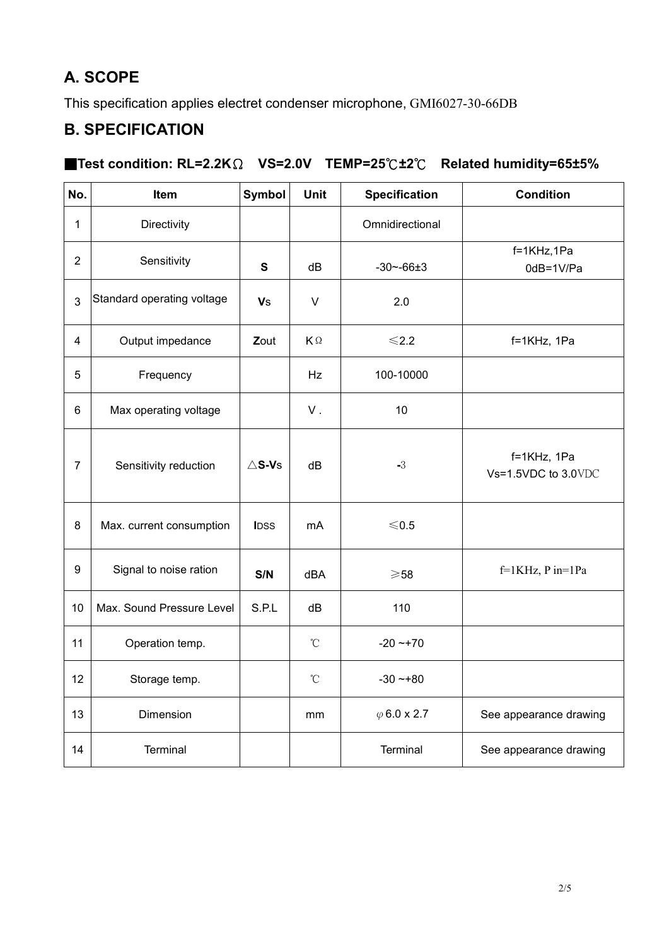# **A. SCOPE**

This specification applies electret condenser microphone, GMI6027-30-66DB

### **B. SPECIFICATION**

#### ■**Test condition: RL=2.2K**Ω **VS=2.0V TEMP=25**℃**±2**℃ **Related humidity=65±5%**

| No.            | Item                       | Symbol           | <b>Unit</b>          | <b>Specification</b> | <b>Condition</b>                   |
|----------------|----------------------------|------------------|----------------------|----------------------|------------------------------------|
| 1              | Directivity                |                  |                      | Omnidirectional      |                                    |
| $\overline{2}$ | Sensitivity                | ${\bf S}$        | dB                   | $-30 - -66 \pm 3$    | f=1KHz,1Pa<br>0dB=1V/Pa            |
| 3              | Standard operating voltage | <b>Vs</b>        | $\vee$               | 2.0                  |                                    |
| 4              | Output impedance           | Zout             | $\mathsf{K}\,\Omega$ | $≤2.2$               | f=1KHz, 1Pa                        |
| 5              | Frequency                  |                  | Hz                   | 100-10000            |                                    |
| 6              | Max operating voltage      |                  | ${\sf V}$ .          | 10                   |                                    |
| $\overline{7}$ | Sensitivity reduction      | $\triangle$ S-Vs | dB                   | $-3$                 | f=1KHz, 1Pa<br>Vs=1.5VDC to 3.0VDC |
| 8              | Max. current consumption   | <b>IDSS</b>      | mA                   | $≤ 0.5$              |                                    |
| $9\,$          | Signal to noise ration     | S/N              | dBA                  | $\geqslant$ 58       | f=1KHz, P in=1Pa                   |
| 10             | Max. Sound Pressure Level  | S.P.L            | dB                   | 110                  |                                    |
| 11             | Operation temp.            |                  | $^{\circ}\!{\rm C}$  | $-20 - +70$          |                                    |
| 12             | Storage temp.              |                  | $^{\circ}\!{\rm C}$  | $-30 - +80$          |                                    |
| 13             | Dimension                  |                  | mm                   | $\varphi$ 6.0 x 2.7  | See appearance drawing             |
| 14             | Terminal                   |                  |                      | Terminal             | See appearance drawing             |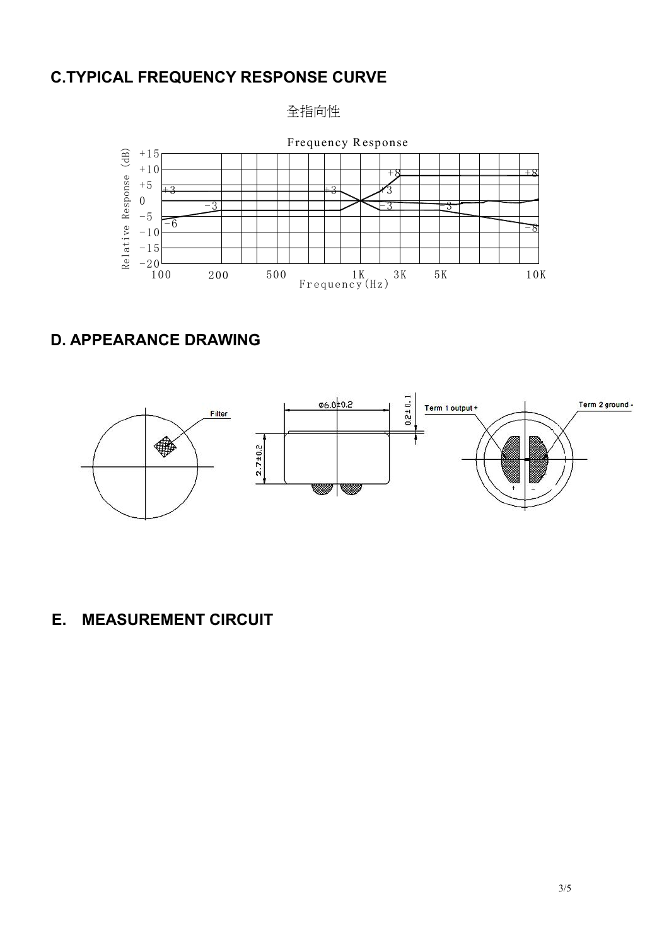### **C.TYPICAL FREQUENCY RESPONSE CURVE**

全指向性



## **D. APPEARANCE DRAWING**



### **E. MEASUREMENT CIRCUIT**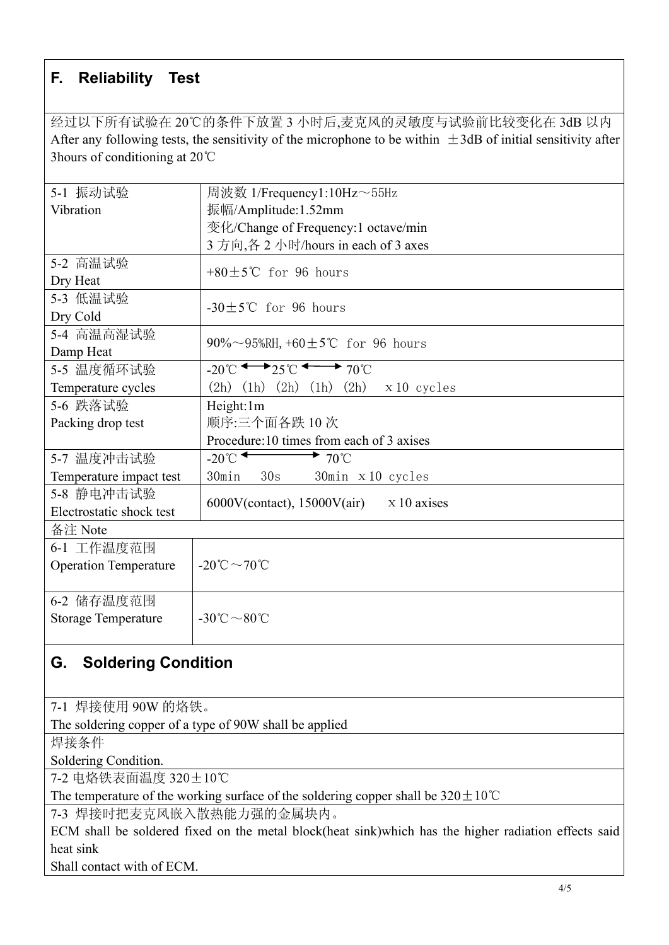## **F. Reliability Test**

经过以下所有试验在 20℃的条件下放置 3 小时后,麦克风的灵敏度与试验前比较变化在 3dB 以内 After any following tests, the sensitivity of the microphone to be within  $\pm$ 3dB of initial sensitivity after 3hours of conditioning at 20℃

| 5-1 振动试验                     | 周波数 1/Frequency1:10Hz~55Hz                                                        |  |  |  |
|------------------------------|-----------------------------------------------------------------------------------|--|--|--|
| Vibration                    | 振幅/Amplitude:1.52mm                                                               |  |  |  |
|                              | 变化/Change of Frequency:1 octave/min                                               |  |  |  |
|                              | 3 方向,各 2 小时/hours in each of 3 axes                                               |  |  |  |
| 5-2 高温试验                     | $+80\pm5\degree$ C for 96 hours                                                   |  |  |  |
| Dry Heat                     |                                                                                   |  |  |  |
| 5-3 低温试验                     | $-30\pm5$ °C for 96 hours                                                         |  |  |  |
| Dry Cold                     |                                                                                   |  |  |  |
| 5-4 高温高湿试验                   | 90%~95%RH, +60 $\pm$ 5°C for 96 hours                                             |  |  |  |
| Damp Heat                    |                                                                                   |  |  |  |
| 5-5 温度循环试验                   | $-20^{\circ}$ C $\longleftrightarrow$ 25 $\circ$ $\longleftrightarrow$ 70 $\circ$ |  |  |  |
| Temperature cycles           | $(2h)$ $(1h)$ $(2h)$ $(1h)$ $(2h)$<br>x 10 cycles                                 |  |  |  |
| 5-6 跌落试验                     | Height:1m                                                                         |  |  |  |
| Packing drop test            | 顺序:三个面各跌10次                                                                       |  |  |  |
|                              | Procedure:10 times from each of 3 axises                                          |  |  |  |
| 5-7 温度冲击试验                   | $-20^{\circ}$<br>$\rightarrow$ 70°C                                               |  |  |  |
| Temperature impact test      | 30s<br>30min<br>$30$ min $x 10$ cycles                                            |  |  |  |
| 5-8 静电冲击试验                   | 6000V(contact), $15000V(air)$ x 10 axises                                         |  |  |  |
| Electrostatic shock test     |                                                                                   |  |  |  |
| 备注 Note                      |                                                                                   |  |  |  |
| 6-1 工作温度范围                   |                                                                                   |  |  |  |
| <b>Operation Temperature</b> | -20°C $\sim$ 70°C                                                                 |  |  |  |
|                              |                                                                                   |  |  |  |
| 6-2 储存温度范围                   |                                                                                   |  |  |  |
| <b>Storage Temperature</b>   | $-30^{\circ}\text{C} \sim 80^{\circ}\text{C}$                                     |  |  |  |
|                              |                                                                                   |  |  |  |

# **G. Soldering Condition**

7-1 焊接使用 90W 的烙铁。

The soldering copper of a type of 90W shall be applied

焊接条件

Soldering Condition.

7-2 电烙铁表面温度 320±10℃

The temperature of the working surface of the soldering copper shall be  $320 \pm 10^{\circ}$ C

7-3 焊接时把麦克风嵌入散热能力强的金属块内。

ECM shall be soldered fixed on the metal block(heat sink)which has the higher radiation effects said heat sink

Shall contact with of ECM.